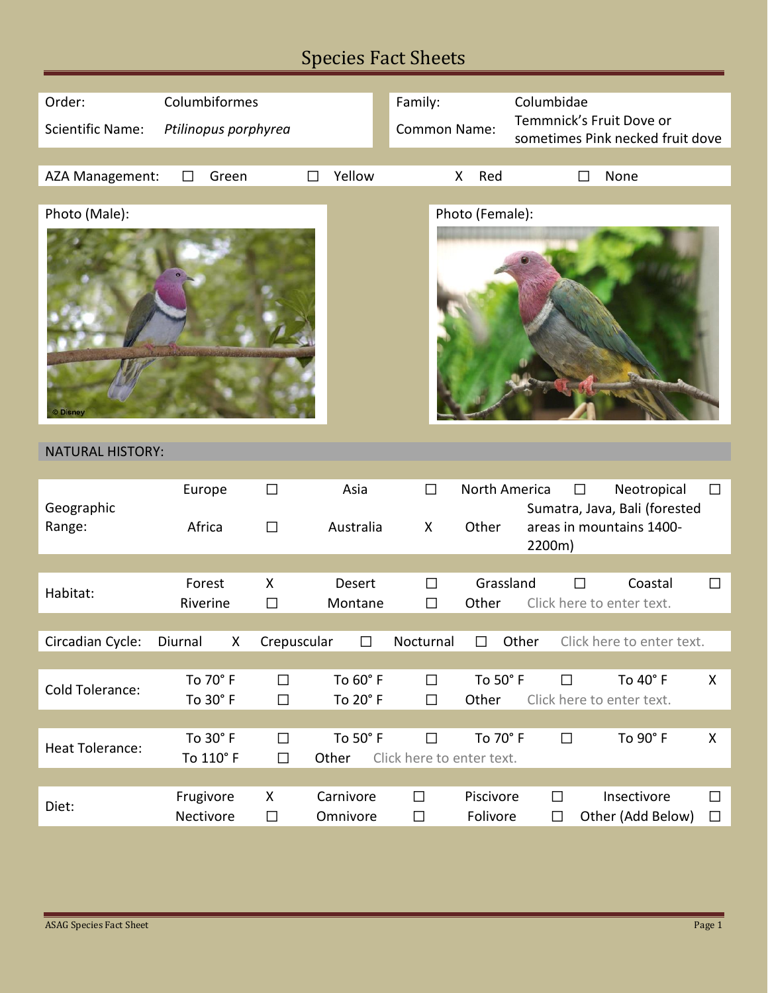## Species Fact Sheets

| Order:                  | Columbiformes         |             |           | Family:                   |                 | Columbidae                                                   |
|-------------------------|-----------------------|-------------|-----------|---------------------------|-----------------|--------------------------------------------------------------|
| <b>Scientific Name:</b> | Ptilinopus porphyrea  |             |           | Common Name:              |                 | Temmnick's Fruit Dove or<br>sometimes Pink necked fruit dove |
|                         |                       |             |           |                           |                 |                                                              |
| AZA Management:         | Green<br>$\mathsf{L}$ |             | Yellow    |                           | Red<br>X        | None                                                         |
|                         |                       |             |           |                           |                 |                                                              |
| Photo (Male):           |                       |             |           |                           | Photo (Female): |                                                              |
| <b>Disney</b>           |                       |             |           |                           |                 |                                                              |
| <b>NATURAL HISTORY:</b> |                       |             |           |                           |                 |                                                              |
|                         | Europe                | $\Box$      | Asia      | $\Box$                    | North America   | Neotropical<br>$\Box$<br>$\Box$                              |
| Geographic              |                       |             |           |                           |                 | Sumatra, Java, Bali (forested                                |
| Range:                  | Africa                | $\Box$      | Australia | X                         | Other           | areas in mountains 1400-<br>2200m)                           |
|                         |                       |             |           |                           |                 |                                                              |
| Habitat:                | Forest                | X           | Desert    | $\Box$                    | Grassland       | Coastal<br>$\Box$<br>$\Box$                                  |
|                         | Riverine              | $\Box$      | Montane   | $\Box$                    | Other           | Click here to enter text.                                    |
|                         |                       |             |           |                           |                 |                                                              |
| Circadian Cycle:        | Diurnal<br>X          | Crepuscular |           | Nocturnal                 |                 | Other<br>Click here to enter text.                           |
|                         |                       |             |           |                           |                 |                                                              |
| Cold Tolerance:         | To 70° F              | $\Box$      | To 60° F  | $\Box$                    | To 50° F        | To 40° F<br>$\Box$<br>X                                      |
|                         | To 30° F              | $\Box$      | To 20° F  | $\Box$                    | Other           | Click here to enter text.                                    |
|                         | To 30° F              | $\Box$      | To 50° F  | $\Box$                    | To 70° F        | To 90° F<br>$\Box$<br>X                                      |
| <b>Heat Tolerance:</b>  | To 110° F             | $\Box$      | Other     | Click here to enter text. |                 |                                                              |
|                         |                       |             |           |                           |                 |                                                              |
|                         | Frugivore             | X           | Carnivore | $\Box$                    | Piscivore       | Insectivore<br>$\Box$<br>$\Box$                              |
| Diet:                   | Nectivore             | $\Box$      | Omnivore  | $\Box$                    | Folivore        | Other (Add Below)<br>$\Box$<br>$\Box$                        |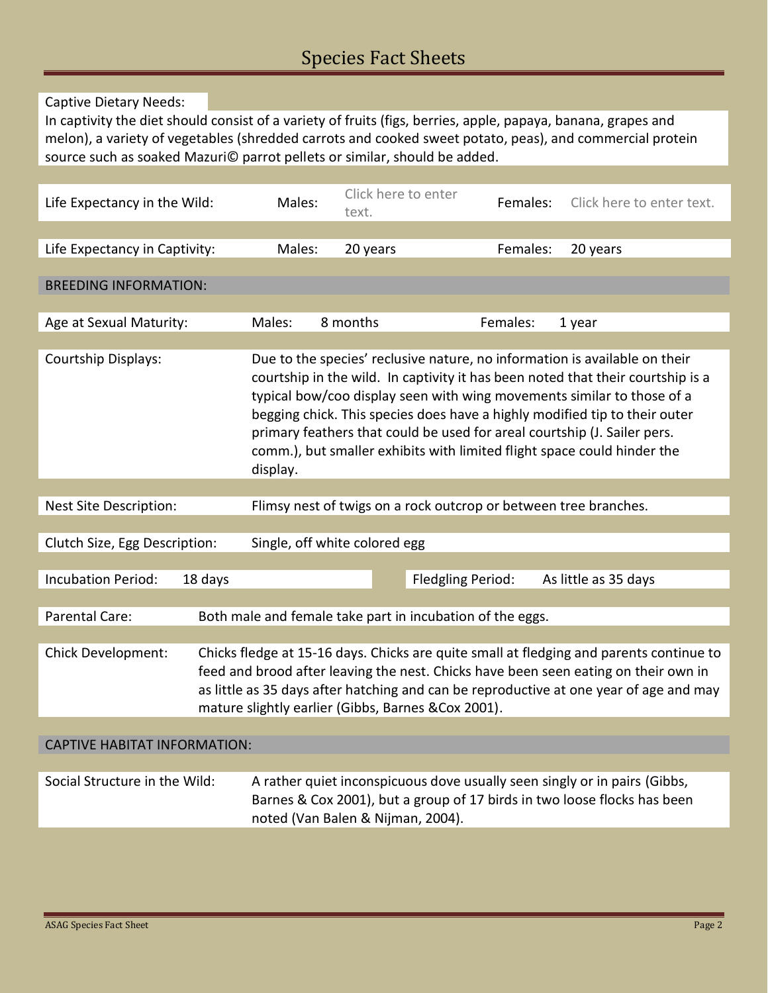Captive Dietary Needs:

In captivity the diet should consist of a variety of fruits (figs, berries, apple, papaya, banana, grapes and melon), a variety of vegetables (shredded carrots and cooked sweet potato, peas), and commercial protein source such as soaked Mazuri© parrot pellets or similar, should be added.

| Life Expectancy in the Wild:                                                                                                                                                                                                                                                                                                                          | Males:                                                                                                                                                                                                                                                                                                                                                                                                                                                                                   | Click here to enter<br>text.                              | Females:          | Click here to enter text. |  |  |
|-------------------------------------------------------------------------------------------------------------------------------------------------------------------------------------------------------------------------------------------------------------------------------------------------------------------------------------------------------|------------------------------------------------------------------------------------------------------------------------------------------------------------------------------------------------------------------------------------------------------------------------------------------------------------------------------------------------------------------------------------------------------------------------------------------------------------------------------------------|-----------------------------------------------------------|-------------------|---------------------------|--|--|
|                                                                                                                                                                                                                                                                                                                                                       |                                                                                                                                                                                                                                                                                                                                                                                                                                                                                          |                                                           |                   |                           |  |  |
| Life Expectancy in Captivity:                                                                                                                                                                                                                                                                                                                         | Males:                                                                                                                                                                                                                                                                                                                                                                                                                                                                                   | 20 years                                                  | Females:          | 20 years                  |  |  |
| <b>BREEDING INFORMATION:</b>                                                                                                                                                                                                                                                                                                                          |                                                                                                                                                                                                                                                                                                                                                                                                                                                                                          |                                                           |                   |                           |  |  |
| Age at Sexual Maturity:                                                                                                                                                                                                                                                                                                                               | Males:                                                                                                                                                                                                                                                                                                                                                                                                                                                                                   | 8 months                                                  | Females:          | 1 year                    |  |  |
|                                                                                                                                                                                                                                                                                                                                                       |                                                                                                                                                                                                                                                                                                                                                                                                                                                                                          |                                                           |                   |                           |  |  |
| Courtship Displays:                                                                                                                                                                                                                                                                                                                                   | Due to the species' reclusive nature, no information is available on their<br>courtship in the wild. In captivity it has been noted that their courtship is a<br>typical bow/coo display seen with wing movements similar to those of a<br>begging chick. This species does have a highly modified tip to their outer<br>primary feathers that could be used for areal courtship (J. Sailer pers.<br>comm.), but smaller exhibits with limited flight space could hinder the<br>display. |                                                           |                   |                           |  |  |
|                                                                                                                                                                                                                                                                                                                                                       |                                                                                                                                                                                                                                                                                                                                                                                                                                                                                          |                                                           |                   |                           |  |  |
| Nest Site Description:                                                                                                                                                                                                                                                                                                                                | Flimsy nest of twigs on a rock outcrop or between tree branches.                                                                                                                                                                                                                                                                                                                                                                                                                         |                                                           |                   |                           |  |  |
|                                                                                                                                                                                                                                                                                                                                                       |                                                                                                                                                                                                                                                                                                                                                                                                                                                                                          |                                                           |                   |                           |  |  |
| Clutch Size, Egg Description:                                                                                                                                                                                                                                                                                                                         | Single, off white colored egg                                                                                                                                                                                                                                                                                                                                                                                                                                                            |                                                           |                   |                           |  |  |
|                                                                                                                                                                                                                                                                                                                                                       |                                                                                                                                                                                                                                                                                                                                                                                                                                                                                          |                                                           |                   |                           |  |  |
| <b>Incubation Period:</b><br>18 days                                                                                                                                                                                                                                                                                                                  |                                                                                                                                                                                                                                                                                                                                                                                                                                                                                          |                                                           | Fledgling Period: | As little as 35 days      |  |  |
| Parental Care:                                                                                                                                                                                                                                                                                                                                        |                                                                                                                                                                                                                                                                                                                                                                                                                                                                                          | Both male and female take part in incubation of the eggs. |                   |                           |  |  |
| Chick Development:<br>Chicks fledge at 15-16 days. Chicks are quite small at fledging and parents continue to<br>feed and brood after leaving the nest. Chicks have been seen eating on their own in<br>as little as 35 days after hatching and can be reproductive at one year of age and may<br>mature slightly earlier (Gibbs, Barnes & Cox 2001). |                                                                                                                                                                                                                                                                                                                                                                                                                                                                                          |                                                           |                   |                           |  |  |
|                                                                                                                                                                                                                                                                                                                                                       |                                                                                                                                                                                                                                                                                                                                                                                                                                                                                          |                                                           |                   |                           |  |  |
| <b>CAPTIVE HABITAT INFORMATION:</b>                                                                                                                                                                                                                                                                                                                   |                                                                                                                                                                                                                                                                                                                                                                                                                                                                                          |                                                           |                   |                           |  |  |
|                                                                                                                                                                                                                                                                                                                                                       |                                                                                                                                                                                                                                                                                                                                                                                                                                                                                          |                                                           |                   |                           |  |  |
| Social Structure in the Wild:                                                                                                                                                                                                                                                                                                                         | A rather quiet inconspicuous dove usually seen singly or in pairs (Gibbs,<br>Barnes & Cox 2001), but a group of 17 birds in two loose flocks has been<br>noted (Van Balen & Nijman, 2004).                                                                                                                                                                                                                                                                                               |                                                           |                   |                           |  |  |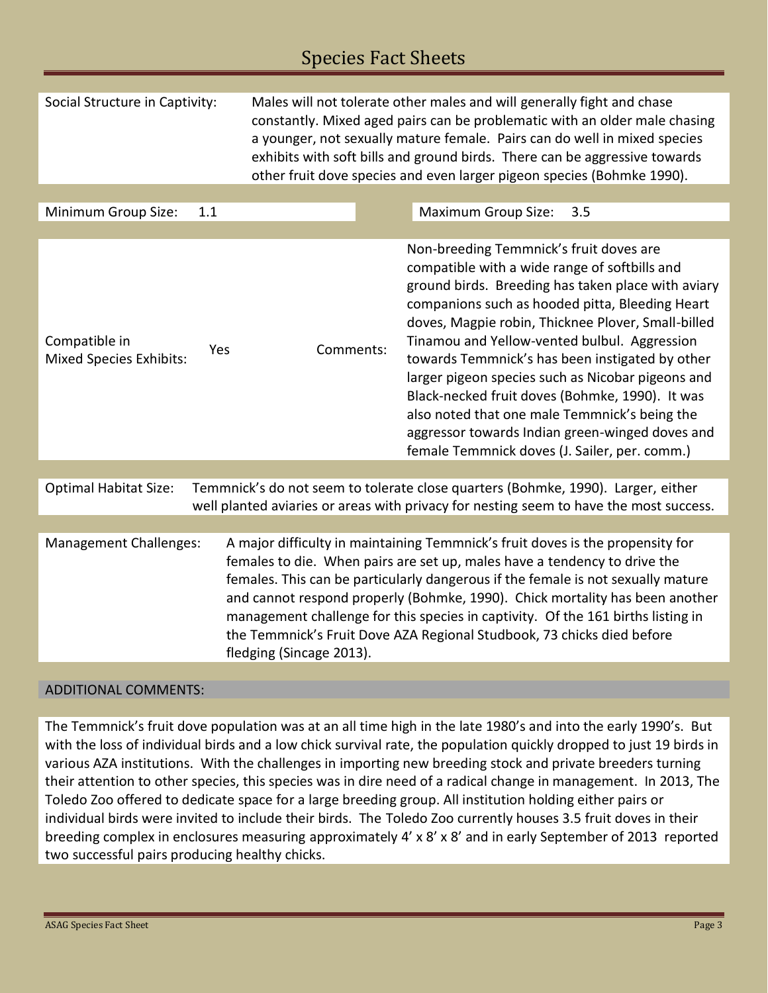## Species Fact Sheets

| Social Structure in Captivity:                                                                                                                                                                             |                                                                                                                                                                                                                                                                                                                                                                                                                                                                                                                           | Males will not tolerate other males and will generally fight and chase<br>constantly. Mixed aged pairs can be problematic with an older male chasing<br>a younger, not sexually mature female. Pairs can do well in mixed species<br>exhibits with soft bills and ground birds. There can be aggressive towards<br>other fruit dove species and even larger pigeon species (Bohmke 1990). |  |                                                                                                                                                                                                                                                                                                                                                                                                                                                                                                                                                                                                                         |     |  |
|------------------------------------------------------------------------------------------------------------------------------------------------------------------------------------------------------------|---------------------------------------------------------------------------------------------------------------------------------------------------------------------------------------------------------------------------------------------------------------------------------------------------------------------------------------------------------------------------------------------------------------------------------------------------------------------------------------------------------------------------|-------------------------------------------------------------------------------------------------------------------------------------------------------------------------------------------------------------------------------------------------------------------------------------------------------------------------------------------------------------------------------------------|--|-------------------------------------------------------------------------------------------------------------------------------------------------------------------------------------------------------------------------------------------------------------------------------------------------------------------------------------------------------------------------------------------------------------------------------------------------------------------------------------------------------------------------------------------------------------------------------------------------------------------------|-----|--|
|                                                                                                                                                                                                            |                                                                                                                                                                                                                                                                                                                                                                                                                                                                                                                           |                                                                                                                                                                                                                                                                                                                                                                                           |  |                                                                                                                                                                                                                                                                                                                                                                                                                                                                                                                                                                                                                         |     |  |
| Minimum Group Size:                                                                                                                                                                                        | 1.1                                                                                                                                                                                                                                                                                                                                                                                                                                                                                                                       |                                                                                                                                                                                                                                                                                                                                                                                           |  | <b>Maximum Group Size:</b>                                                                                                                                                                                                                                                                                                                                                                                                                                                                                                                                                                                              | 3.5 |  |
|                                                                                                                                                                                                            |                                                                                                                                                                                                                                                                                                                                                                                                                                                                                                                           |                                                                                                                                                                                                                                                                                                                                                                                           |  |                                                                                                                                                                                                                                                                                                                                                                                                                                                                                                                                                                                                                         |     |  |
| Compatible in<br><b>Mixed Species Exhibits:</b>                                                                                                                                                            | Yes                                                                                                                                                                                                                                                                                                                                                                                                                                                                                                                       | Comments:                                                                                                                                                                                                                                                                                                                                                                                 |  | Non-breeding Temmnick's fruit doves are<br>compatible with a wide range of softbills and<br>ground birds. Breeding has taken place with aviary<br>companions such as hooded pitta, Bleeding Heart<br>doves, Magpie robin, Thicknee Plover, Small-billed<br>Tinamou and Yellow-vented bulbul. Aggression<br>towards Temmnick's has been instigated by other<br>larger pigeon species such as Nicobar pigeons and<br>Black-necked fruit doves (Bohmke, 1990). It was<br>also noted that one male Temmnick's being the<br>aggressor towards Indian green-winged doves and<br>female Temmnick doves (J. Sailer, per. comm.) |     |  |
|                                                                                                                                                                                                            |                                                                                                                                                                                                                                                                                                                                                                                                                                                                                                                           |                                                                                                                                                                                                                                                                                                                                                                                           |  |                                                                                                                                                                                                                                                                                                                                                                                                                                                                                                                                                                                                                         |     |  |
| Temmnick's do not seem to tolerate close quarters (Bohmke, 1990). Larger, either<br><b>Optimal Habitat Size:</b><br>well planted aviaries or areas with privacy for nesting seem to have the most success. |                                                                                                                                                                                                                                                                                                                                                                                                                                                                                                                           |                                                                                                                                                                                                                                                                                                                                                                                           |  |                                                                                                                                                                                                                                                                                                                                                                                                                                                                                                                                                                                                                         |     |  |
|                                                                                                                                                                                                            |                                                                                                                                                                                                                                                                                                                                                                                                                                                                                                                           |                                                                                                                                                                                                                                                                                                                                                                                           |  |                                                                                                                                                                                                                                                                                                                                                                                                                                                                                                                                                                                                                         |     |  |
| Management Challenges:                                                                                                                                                                                     | A major difficulty in maintaining Temmnick's fruit doves is the propensity for<br>females to die. When pairs are set up, males have a tendency to drive the<br>females. This can be particularly dangerous if the female is not sexually mature<br>and cannot respond properly (Bohmke, 1990). Chick mortality has been another<br>management challenge for this species in captivity. Of the 161 births listing in<br>the Temmnick's Fruit Dove AZA Regional Studbook, 73 chicks died before<br>fledging (Sincage 2013). |                                                                                                                                                                                                                                                                                                                                                                                           |  |                                                                                                                                                                                                                                                                                                                                                                                                                                                                                                                                                                                                                         |     |  |
|                                                                                                                                                                                                            |                                                                                                                                                                                                                                                                                                                                                                                                                                                                                                                           |                                                                                                                                                                                                                                                                                                                                                                                           |  |                                                                                                                                                                                                                                                                                                                                                                                                                                                                                                                                                                                                                         |     |  |

## ADDITIONAL COMMENTS:

The Temmnick's fruit dove population was at an all time high in the late 1980's and into the early 1990's. But with the loss of individual birds and a low chick survival rate, the population quickly dropped to just 19 birds in various AZA institutions. With the challenges in importing new breeding stock and private breeders turning their attention to other species, this species was in dire need of a radical change in management. In 2013, The Toledo Zoo offered to dedicate space for a large breeding group. All institution holding either pairs or individual birds were invited to include their birds. The Toledo Zoo currently houses 3.5 fruit doves in their breeding complex in enclosures measuring approximately 4' x 8' x 8' and in early September of 2013 reported two successful pairs producing healthy chicks.